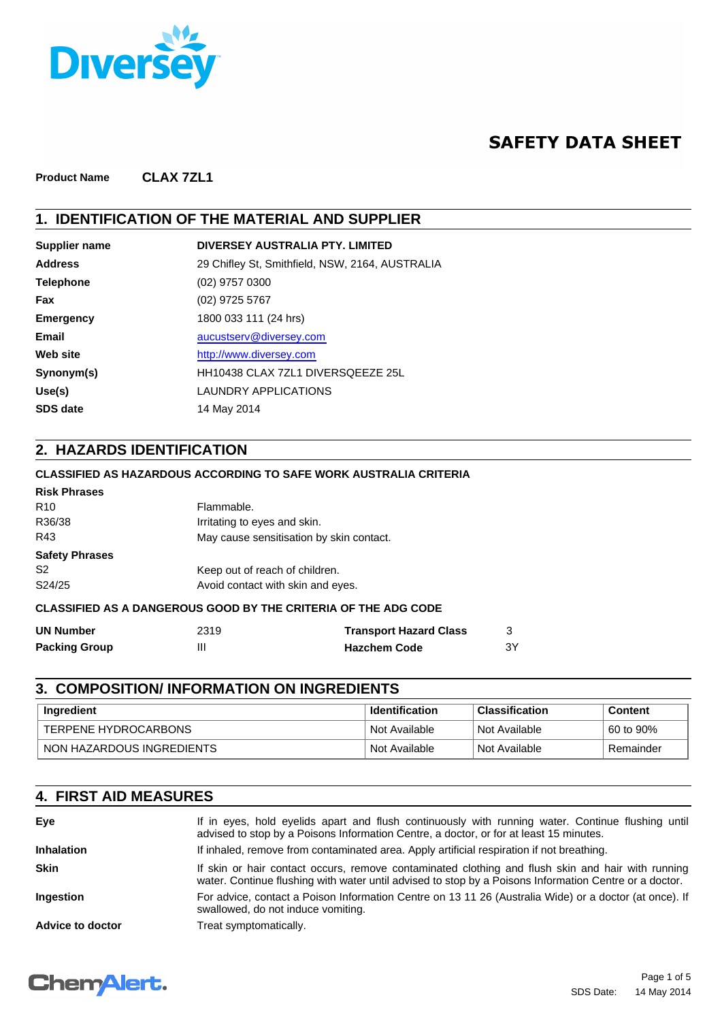

## **SAFETY DATA SHEET**

**Product Name CLAX 7ZL1**

#### **1. IDENTIFICATION OF THE MATERIAL AND SUPPLIER**

| Supplier name    | DIVERSEY AUSTRALIA PTY, LIMITED                 |
|------------------|-------------------------------------------------|
| <b>Address</b>   | 29 Chifley St, Smithfield, NSW, 2164, AUSTRALIA |
| <b>Telephone</b> | $(02)$ 9757 0300                                |
| Fax              | (02) 9725 5767                                  |
| <b>Emergency</b> | 1800 033 111 (24 hrs)                           |
| <b>Email</b>     | aucustserv@diversey.com                         |
| Web site         | http://www.diversey.com                         |
| Synonym(s)       | HH10438 CLAX 7ZL1 DIVERSQEEZE 25L               |
| Use(s)           | LAUNDRY APPLICATIONS                            |
| <b>SDS date</b>  | 14 May 2014                                     |
|                  |                                                 |

#### **2. HAZARDS IDENTIFICATION**

#### **CLASSIFIED AS HAZARDOUS ACCORDING TO SAFE WORK AUSTRALIA CRITERIA**

| <b>Risk Phrases</b>                                                   |                                          |  |
|-----------------------------------------------------------------------|------------------------------------------|--|
| R <sub>10</sub>                                                       | Flammable.                               |  |
| R36/38                                                                | Irritating to eyes and skin.             |  |
| R43                                                                   | May cause sensitisation by skin contact. |  |
| <b>Safety Phrases</b>                                                 |                                          |  |
| S <sub>2</sub>                                                        | Keep out of reach of children.           |  |
| S24/25                                                                | Avoid contact with skin and eyes.        |  |
| <b>CLASSIFIED AS A DANGEROUS GOOD BY THE CRITERIA OF THE ADG CODE</b> |                                          |  |

| <b>UN Number</b>     | 2319 | <b>Transport Hazard Class</b> |    |
|----------------------|------|-------------------------------|----|
| <b>Packing Group</b> | Ш    | <b>Hazchem Code</b>           | 3Y |

## **3. COMPOSITION/ INFORMATION ON INGREDIENTS**

| Ingredient                | <b>Identification</b> | <b>Classification</b>      | <b>Content</b> |
|---------------------------|-----------------------|----------------------------|----------------|
| TERPENE HYDROCARBONS      | Not Available         | Not Available              | 60 to 90%      |
| NON HAZARDOUS INGREDIENTS | Not Available         | <sup>1</sup> Not Available | Remainder      |

### **4. FIRST AID MEASURES**

| Eye               | If in eyes, hold eyelids apart and flush continuously with running water. Continue flushing until<br>advised to stop by a Poisons Information Centre, a doctor, or for at least 15 minutes.                 |
|-------------------|-------------------------------------------------------------------------------------------------------------------------------------------------------------------------------------------------------------|
| <b>Inhalation</b> | If inhaled, remove from contaminated area. Apply artificial respiration if not breathing.                                                                                                                   |
| <b>Skin</b>       | If skin or hair contact occurs, remove contaminated clothing and flush skin and hair with running<br>water. Continue flushing with water until advised to stop by a Poisons Information Centre or a doctor. |
| <b>Ingestion</b>  | For advice, contact a Poison Information Centre on 13 11 26 (Australia Wide) or a doctor (at once). If<br>swallowed, do not induce vomiting.                                                                |
| Advice to doctor  | Treat symptomatically.                                                                                                                                                                                      |

## **ChemAlert.**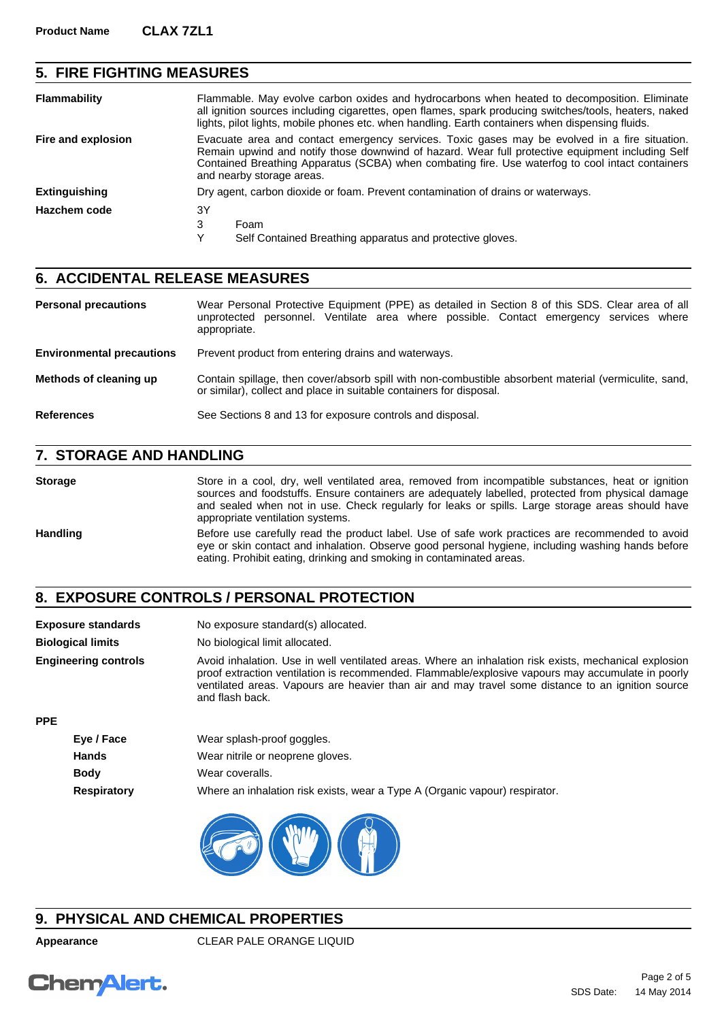## **5. FIRE FIGHTING MEASURES**

| <b>Flammability</b>  | Flammable. May evolve carbon oxides and hydrocarbons when heated to decomposition. Eliminate<br>all ignition sources including cigarettes, open flames, spark producing switches/tools, heaters, naked<br>lights, pilot lights, mobile phones etc. when handling. Earth containers when dispensing fluids.                         |
|----------------------|------------------------------------------------------------------------------------------------------------------------------------------------------------------------------------------------------------------------------------------------------------------------------------------------------------------------------------|
| Fire and explosion   | Evacuate area and contact emergency services. Toxic gases may be evolved in a fire situation.<br>Remain upwind and notify those downwind of hazard. Wear full protective equipment including Self<br>Contained Breathing Apparatus (SCBA) when combating fire. Use waterfog to cool intact containers<br>and nearby storage areas. |
| <b>Extinguishing</b> | Dry agent, carbon dioxide or foam. Prevent contamination of drains or waterways.                                                                                                                                                                                                                                                   |
| Hazchem code         | 3Y                                                                                                                                                                                                                                                                                                                                 |
|                      | 3<br>Foam                                                                                                                                                                                                                                                                                                                          |
|                      | v<br>Self Contained Breathing apparatus and protective gloves.                                                                                                                                                                                                                                                                     |

#### **6. ACCIDENTAL RELEASE MEASURES**

Wear Personal Protective Equipment (PPE) as detailed in Section 8 of this SDS. Clear area of all unprotected personnel. Ventilate area where possible. Contact emergency services where appropriate. **Personal precautions Environmental precautions** Prevent product from entering drains and waterways. Contain spillage, then cover/absorb spill with non-combustible absorbent material (vermiculite, sand, or similar), collect and place in suitable containers for disposal. **Methods of cleaning up References** See Sections 8 and 13 for exposure controls and disposal.

#### **7. STORAGE AND HANDLING**

Storage Store in a cool, dry, well ventilated area, removed from incompatible substances, heat or ignition sources and foodstuffs. Ensure containers are adequately labelled, protected from physical damage and sealed when not in use. Check regularly for leaks or spills. Large storage areas should have appropriate ventilation systems. Handling Before use carefully read the product label. Use of safe work practices are recommended to avoid eye or skin contact and inhalation. Observe good personal hygiene, including washing hands before eating. Prohibit eating, drinking and smoking in contaminated areas.

#### **8. EXPOSURE CONTROLS / PERSONAL PROTECTION**

| <b>Exposure standards</b>   | No exposure standard(s) allocated.                                                                                                                                                                                                                                                                                                 |
|-----------------------------|------------------------------------------------------------------------------------------------------------------------------------------------------------------------------------------------------------------------------------------------------------------------------------------------------------------------------------|
| <b>Biological limits</b>    | No biological limit allocated.                                                                                                                                                                                                                                                                                                     |
| <b>Engineering controls</b> | Avoid inhalation. Use in well ventilated areas. Where an inhalation risk exists, mechanical explosion<br>proof extraction ventilation is recommended. Flammable/explosive vapours may accumulate in poorly<br>ventilated areas. Vapours are heavier than air and may travel some distance to an ignition source<br>and flash back. |
| <b>PPE</b>                  |                                                                                                                                                                                                                                                                                                                                    |

| Eye / Face         | Wear splash-proof goggles.                                                  |
|--------------------|-----------------------------------------------------------------------------|
| Hands              | Wear nitrile or neoprene gloves.                                            |
| <b>Body</b>        | Wear coveralls.                                                             |
| <b>Respiratory</b> | Where an inhalation risk exists, wear a Type A (Organic vapour) respirator. |



## **9. PHYSICAL AND CHEMICAL PROPERTIES**

**Appearance** CLEAR PALE ORANGE LIQUID

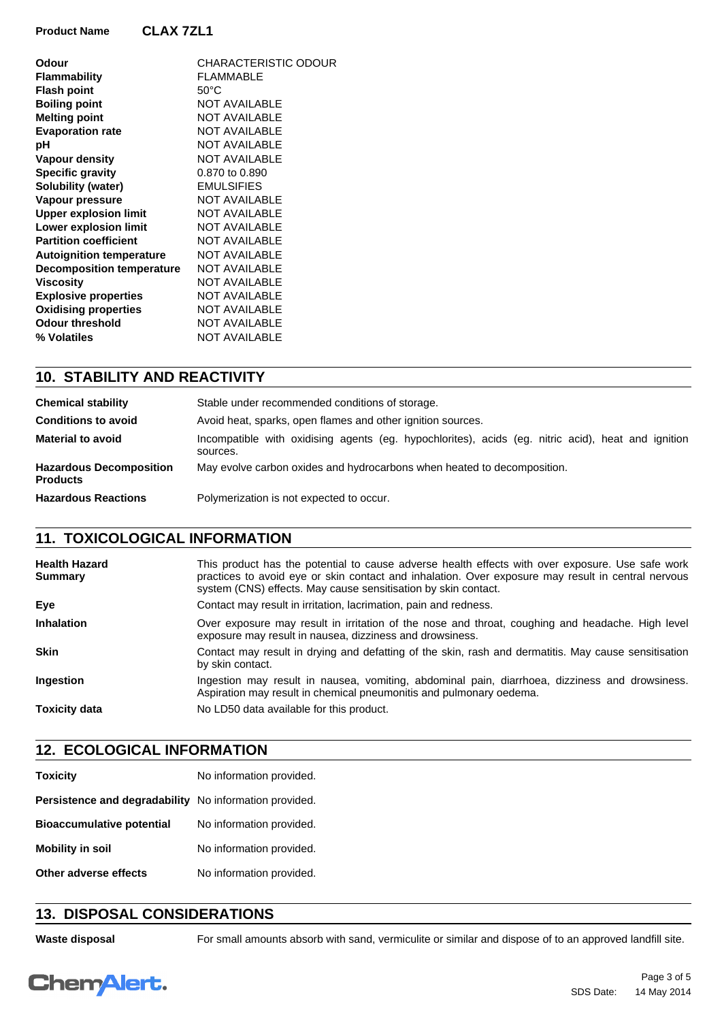| Odour                            | CHARACTERISTIC ODOUR |
|----------------------------------|----------------------|
| Flammability                     | <b>FLAMMABLE</b>     |
| <b>Flash point</b>               | $50^{\circ}$ C       |
| <b>Boiling point</b>             | <b>NOT AVAILABLE</b> |
| <b>Melting point</b>             | <b>NOT AVAILABLE</b> |
| <b>Evaporation rate</b>          | <b>NOT AVAILABLE</b> |
| рH                               | <b>NOT AVAILABLE</b> |
| Vapour density                   | <b>NOT AVAILABLE</b> |
| <b>Specific gravity</b>          | 0.870 to 0.890       |
| Solubility (water)               | <b>EMULSIFIES</b>    |
| Vapour pressure                  | <b>NOT AVAILABLE</b> |
| <b>Upper explosion limit</b>     | <b>NOT AVAILABLE</b> |
| <b>Lower explosion limit</b>     | <b>NOT AVAILABLE</b> |
| <b>Partition coefficient</b>     | <b>NOT AVAILABLE</b> |
| <b>Autoignition temperature</b>  | <b>NOT AVAILABLE</b> |
| <b>Decomposition temperature</b> | <b>NOT AVAILABLE</b> |
| Viscosity                        | <b>NOT AVAILABLE</b> |
| <b>Explosive properties</b>      | <b>NOT AVAILABLE</b> |
| <b>Oxidising properties</b>      | <b>NOT AVAILABLE</b> |
| <b>Odour threshold</b>           | <b>NOT AVAILABLE</b> |
| % Volatiles                      | NOT AVAILABLE        |
|                                  |                      |

#### **10. STABILITY AND REACTIVITY**

| <b>Chemical stability</b>                         | Stable under recommended conditions of storage.                                                                |  |
|---------------------------------------------------|----------------------------------------------------------------------------------------------------------------|--|
| <b>Conditions to avoid</b>                        | Avoid heat, sparks, open flames and other ignition sources.                                                    |  |
| <b>Material to avoid</b>                          | Incompatible with oxidising agents (eg. hypochlorites), acids (eg. nitric acid), heat and ignition<br>sources. |  |
| <b>Hazardous Decomposition</b><br><b>Products</b> | May evolve carbon oxides and hydrocarbons when heated to decomposition.                                        |  |
| <b>Hazardous Reactions</b>                        | Polymerization is not expected to occur.                                                                       |  |

### **11. TOXICOLOGICAL INFORMATION**

| <b>Health Hazard</b><br><b>Summary</b> | This product has the potential to cause adverse health effects with over exposure. Use safe work<br>practices to avoid eye or skin contact and inhalation. Over exposure may result in central nervous<br>system (CNS) effects. May cause sensitisation by skin contact. |
|----------------------------------------|--------------------------------------------------------------------------------------------------------------------------------------------------------------------------------------------------------------------------------------------------------------------------|
| Eye                                    | Contact may result in irritation, lacrimation, pain and redness.                                                                                                                                                                                                         |
| <b>Inhalation</b>                      | Over exposure may result in irritation of the nose and throat, coughing and headache. High level<br>exposure may result in nausea, dizziness and drowsiness.                                                                                                             |
| <b>Skin</b>                            | Contact may result in drying and defatting of the skin, rash and dermatitis. May cause sensitisation<br>by skin contact.                                                                                                                                                 |
| <b>Ingestion</b>                       | Ingestion may result in nausea, vomiting, abdominal pain, diarrhoea, dizziness and drowsiness.<br>Aspiration may result in chemical pneumonitis and pulmonary oedema.                                                                                                    |
| <b>Toxicity data</b>                   | No LD50 data available for this product.                                                                                                                                                                                                                                 |

## **12. ECOLOGICAL INFORMATION**

| No information provided.                               |
|--------------------------------------------------------|
| Persistence and degradability No information provided. |
| No information provided.                               |
| No information provided.                               |
| No information provided.                               |
|                                                        |

### **13. DISPOSAL CONSIDERATIONS**

Waste disposal **For small amounts absorb with sand, vermiculite or similar and dispose of to an approved landfill site.** 

# **ChemAlert.**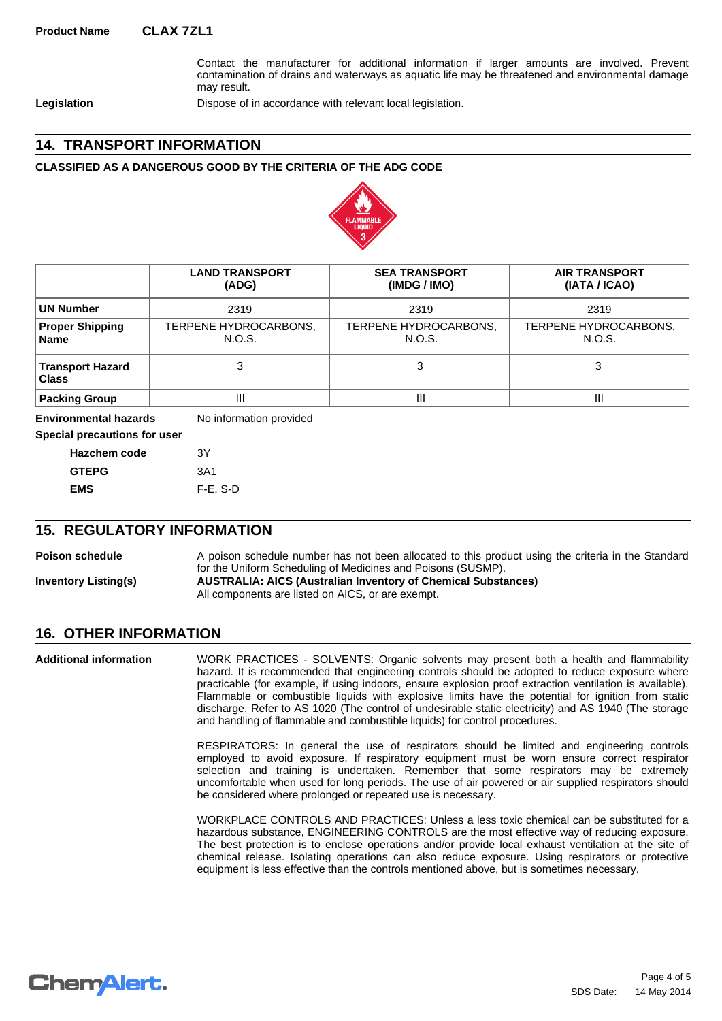Contact the manufacturer for additional information if larger amounts are involved. Prevent contamination of drains and waterways as aquatic life may be threatened and environmental damage may result.

Legislation **Dispose of in accordance with relevant local legislation.** 

#### **14. TRANSPORT INFORMATION**

#### **CLASSIFIED AS A DANGEROUS GOOD BY THE CRITERIA OF THE ADG CODE**



|                                       | <b>LAND TRANSPORT</b><br>(ADG)  | <b>SEA TRANSPORT</b><br>(IMDG / IMO) | <b>AIR TRANSPORT</b><br>(IATA / ICAO) |
|---------------------------------------|---------------------------------|--------------------------------------|---------------------------------------|
| ∣UN Number                            | 2319                            | 2319                                 | 2319                                  |
| <b>Proper Shipping</b><br><b>Name</b> | TERPENE HYDROCARBONS,<br>N.O.S. | TERPENE HYDROCARBONS,<br>N.O.S.      | TERPENE HYDROCARBONS,<br>N.O.S.       |
| Transport Hazard<br><b>Class</b>      |                                 | 3                                    |                                       |
| <b>Packing Group</b>                  | Ш                               | Ш                                    | Ш                                     |

**Environmental hazards** No information provided

**Special precautions for user**

| Hazchem code | 3Y          |
|--------------|-------------|
| <b>GTEPG</b> | 3A1         |
| EMS          | $F-E$ , S-D |

#### **15. REGULATORY INFORMATION**

**Inventory Listing(s) AUSTRALIA: AICS (Australian Inventory of Chemical Substances) Poison schedule** A poison schedule number has not been allocated to this product using the criteria in the Standard for the Uniform Scheduling of Medicines and Poisons (SUSMP).

All components are listed on AICS, or are exempt.

#### **16. OTHER INFORMATION**

WORK PRACTICES - SOLVENTS: Organic solvents may present both a health and flammability hazard. It is recommended that engineering controls should be adopted to reduce exposure where practicable (for example, if using indoors, ensure explosion proof extraction ventilation is available). Flammable or combustible liquids with explosive limits have the potential for ignition from static discharge. Refer to AS 1020 (The control of undesirable static electricity) and AS 1940 (The storage and handling of flammable and combustible liquids) for control procedures. **Additional information**

> RESPIRATORS: In general the use of respirators should be limited and engineering controls employed to avoid exposure. If respiratory equipment must be worn ensure correct respirator selection and training is undertaken. Remember that some respirators may be extremely uncomfortable when used for long periods. The use of air powered or air supplied respirators should be considered where prolonged or repeated use is necessary.

> WORKPLACE CONTROLS AND PRACTICES: Unless a less toxic chemical can be substituted for a hazardous substance, ENGINEERING CONTROLS are the most effective way of reducing exposure. The best protection is to enclose operations and/or provide local exhaust ventilation at the site of chemical release. Isolating operations can also reduce exposure. Using respirators or protective equipment is less effective than the controls mentioned above, but is sometimes necessary.